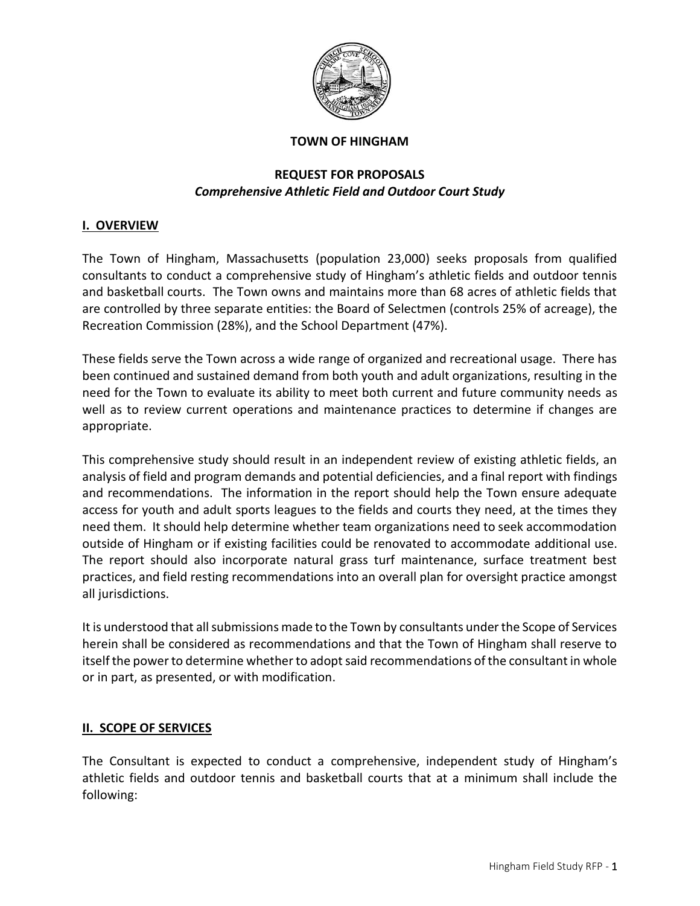

#### **TOWN OF HINGHAM**

## **REQUEST FOR PROPOSALS** *Comprehensive Athletic Field and Outdoor Court Study*

### **I. OVERVIEW**

The Town of Hingham, Massachusetts (population 23,000) seeks proposals from qualified consultants to conduct a comprehensive study of Hingham's athletic fields and outdoor tennis and basketball courts. The Town owns and maintains more than 68 acres of athletic fields that are controlled by three separate entities: the Board of Selectmen (controls 25% of acreage), the Recreation Commission (28%), and the School Department (47%).

These fields serve the Town across a wide range of organized and recreational usage. There has been continued and sustained demand from both youth and adult organizations, resulting in the need for the Town to evaluate its ability to meet both current and future community needs as well as to review current operations and maintenance practices to determine if changes are appropriate.

This comprehensive study should result in an independent review of existing athletic fields, an analysis of field and program demands and potential deficiencies, and a final report with findings and recommendations. The information in the report should help the Town ensure adequate access for youth and adult sports leagues to the fields and courts they need, at the times they need them. It should help determine whether team organizations need to seek accommodation outside of Hingham or if existing facilities could be renovated to accommodate additional use. The report should also incorporate natural grass turf maintenance, surface treatment best practices, and field resting recommendations into an overall plan for oversight practice amongst all jurisdictions.

It is understood that all submissions made to the Town by consultants under the Scope of Services herein shall be considered as recommendations and that the Town of Hingham shall reserve to itself the power to determine whether to adopt said recommendations of the consultant in whole or in part, as presented, or with modification.

#### **II. SCOPE OF SERVICES**

The Consultant is expected to conduct a comprehensive, independent study of Hingham's athletic fields and outdoor tennis and basketball courts that at a minimum shall include the following: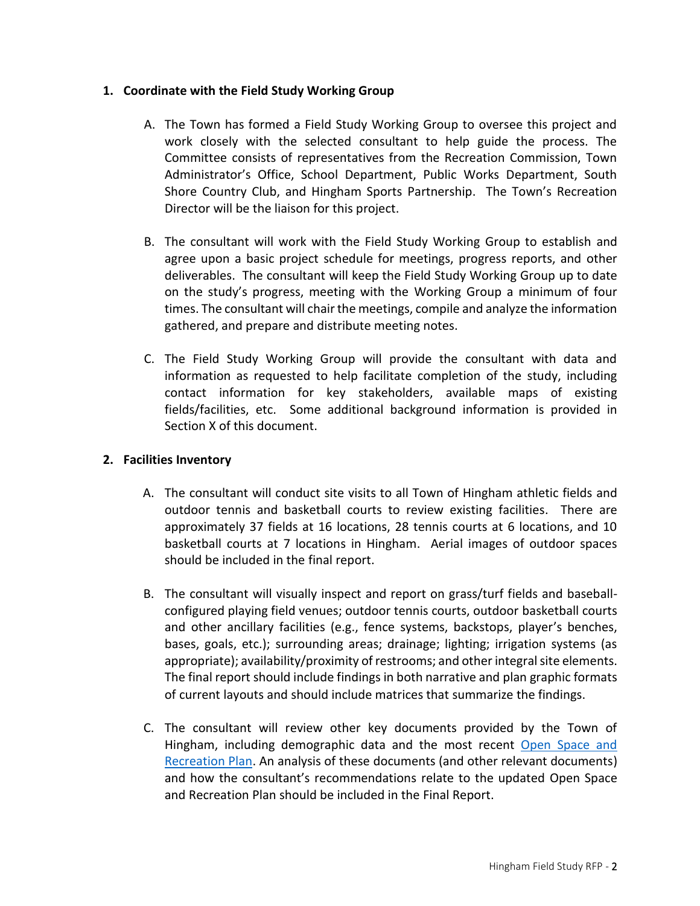### **1. Coordinate with the Field Study Working Group**

- A. The Town has formed a Field Study Working Group to oversee this project and work closely with the selected consultant to help guide the process. The Committee consists of representatives from the Recreation Commission, Town Administrator's Office, School Department, Public Works Department, South Shore Country Club, and Hingham Sports Partnership. The Town's Recreation Director will be the liaison for this project.
- B. The consultant will work with the Field Study Working Group to establish and agree upon a basic project schedule for meetings, progress reports, and other deliverables. The consultant will keep the Field Study Working Group up to date on the study's progress, meeting with the Working Group a minimum of four times. The consultant will chair the meetings, compile and analyze the information gathered, and prepare and distribute meeting notes.
- C. The Field Study Working Group will provide the consultant with data and information as requested to help facilitate completion of the study, including contact information for key stakeholders, available maps of existing fields/facilities, etc. Some additional background information is provided in Section X of this document.

## **2. Facilities Inventory**

- A. The consultant will conduct site visits to all Town of Hingham athletic fields and outdoor tennis and basketball courts to review existing facilities. There are approximately 37 fields at 16 locations, 28 tennis courts at 6 locations, and 10 basketball courts at 7 locations in Hingham. Aerial images of outdoor spaces should be included in the final report.
- B. The consultant will visually inspect and report on grass/turf fields and baseballconfigured playing field venues; outdoor tennis courts, outdoor basketball courts and other ancillary facilities (e.g., fence systems, backstops, player's benches, bases, goals, etc.); surrounding areas; drainage; lighting; irrigation systems (as appropriate); availability/proximity of restrooms; and other integral site elements. The final report should include findings in both narrative and plan graphic formats of current layouts and should include matrices that summarize the findings.
- C. The consultant will review other key documents provided by the Town of Hingham, including demographic data and the most recent [Open Space and](https://www.hingham-ma.gov/DocumentCenter/View/6719/DRAFT-Open-Space-and-Recreation-Plan-2016-2023-PDF)  [Recreation Plan.](https://www.hingham-ma.gov/DocumentCenter/View/6719/DRAFT-Open-Space-and-Recreation-Plan-2016-2023-PDF) An analysis of these documents (and other relevant documents) and how the consultant's recommendations relate to the updated Open Space and Recreation Plan should be included in the Final Report.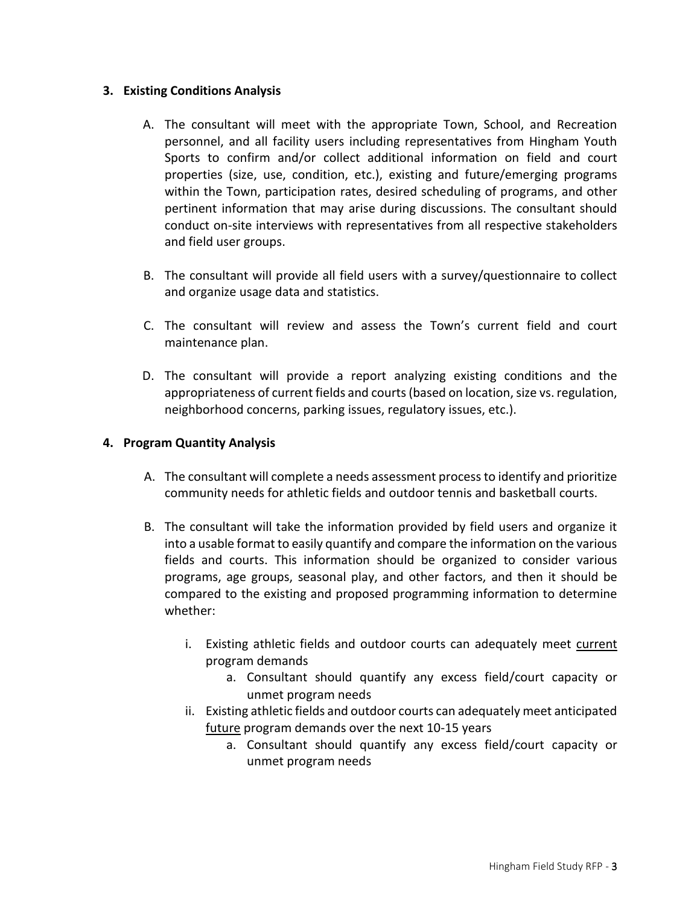### **3. Existing Conditions Analysis**

- A. The consultant will meet with the appropriate Town, School, and Recreation personnel, and all facility users including representatives from Hingham Youth Sports to confirm and/or collect additional information on field and court properties (size, use, condition, etc.), existing and future/emerging programs within the Town, participation rates, desired scheduling of programs, and other pertinent information that may arise during discussions. The consultant should conduct on-site interviews with representatives from all respective stakeholders and field user groups.
- B. The consultant will provide all field users with a survey/questionnaire to collect and organize usage data and statistics.
- C. The consultant will review and assess the Town's current field and court maintenance plan.
- D. The consultant will provide a report analyzing existing conditions and the appropriateness of current fields and courts(based on location, size vs. regulation, neighborhood concerns, parking issues, regulatory issues, etc.).

## **4. Program Quantity Analysis**

- A. The consultant will complete a needs assessment process to identify and prioritize community needs for athletic fields and outdoor tennis and basketball courts.
- B. The consultant will take the information provided by field users and organize it into a usable format to easily quantify and compare the information on the various fields and courts. This information should be organized to consider various programs, age groups, seasonal play, and other factors, and then it should be compared to the existing and proposed programming information to determine whether:
	- i. Existing athletic fields and outdoor courts can adequately meet current program demands
		- a. Consultant should quantify any excess field/court capacity or unmet program needs
	- ii. Existing athletic fields and outdoor courts can adequately meet anticipated future program demands over the next 10-15 years
		- a. Consultant should quantify any excess field/court capacity or unmet program needs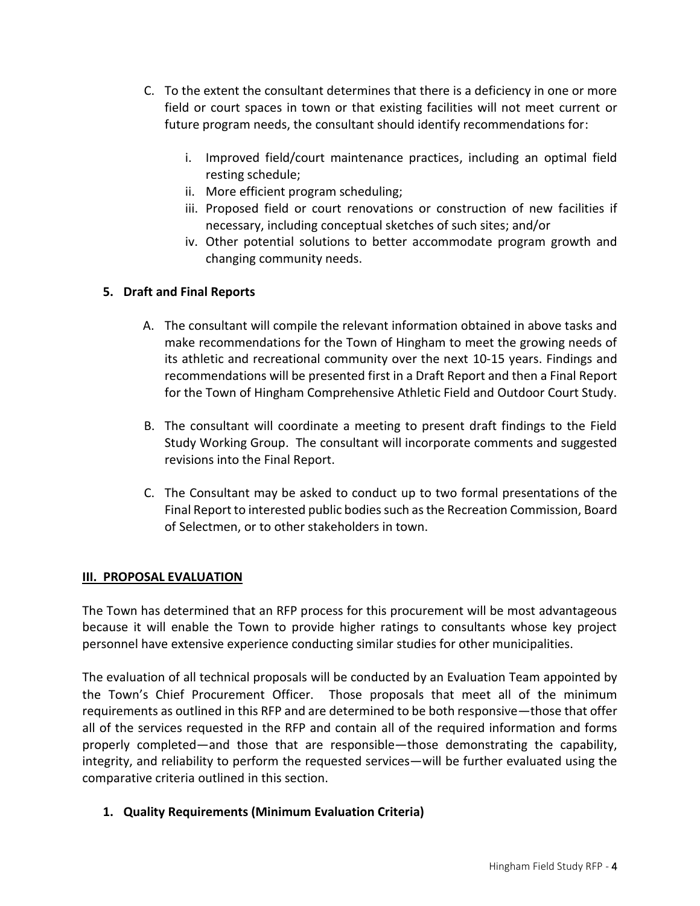- C. To the extent the consultant determines that there is a deficiency in one or more field or court spaces in town or that existing facilities will not meet current or future program needs, the consultant should identify recommendations for:
	- i. Improved field/court maintenance practices, including an optimal field resting schedule;
	- ii. More efficient program scheduling;
	- iii. Proposed field or court renovations or construction of new facilities if necessary, including conceptual sketches of such sites; and/or
	- iv. Other potential solutions to better accommodate program growth and changing community needs.

# **5. Draft and Final Reports**

- A. The consultant will compile the relevant information obtained in above tasks and make recommendations for the Town of Hingham to meet the growing needs of its athletic and recreational community over the next 10-15 years. Findings and recommendations will be presented first in a Draft Report and then a Final Report for the Town of Hingham Comprehensive Athletic Field and Outdoor Court Study.
- B. The consultant will coordinate a meeting to present draft findings to the Field Study Working Group. The consultant will incorporate comments and suggested revisions into the Final Report.
- C. The Consultant may be asked to conduct up to two formal presentations of the Final Report to interested public bodies such as the Recreation Commission, Board of Selectmen, or to other stakeholders in town.

## **III. PROPOSAL EVALUATION**

The Town has determined that an RFP process for this procurement will be most advantageous because it will enable the Town to provide higher ratings to consultants whose key project personnel have extensive experience conducting similar studies for other municipalities.

The evaluation of all technical proposals will be conducted by an Evaluation Team appointed by the Town's Chief Procurement Officer. Those proposals that meet all of the minimum requirements as outlined in this RFP and are determined to be both responsive—those that offer all of the services requested in the RFP and contain all of the required information and forms properly completed—and those that are responsible—those demonstrating the capability, integrity, and reliability to perform the requested services—will be further evaluated using the comparative criteria outlined in this section.

**1. Quality Requirements (Minimum Evaluation Criteria)**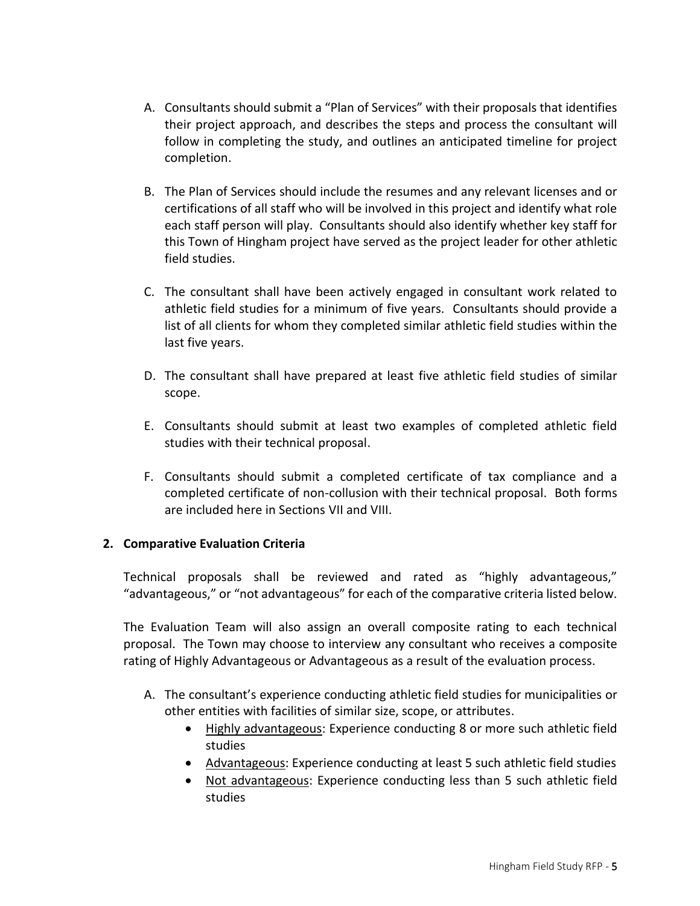- A. Consultants should submit a "Plan of Services" with their proposals that identifies their project approach, and describes the steps and process the consultant will follow in completing the study, and outlines an anticipated timeline for project completion.
- B. The Plan of Services should include the resumes and any relevant licenses and or certifications of all staff who will be involved in this project and identify what role each staff person will play. Consultants should also identify whether key staff for this Town of Hingham project have served as the project leader for other athletic field studies.
- C. The consultant shall have been actively engaged in consultant work related to athletic field studies for a minimum of five years. Consultants should provide a list of all clients for whom they completed similar athletic field studies within the last five years.
- D. The consultant shall have prepared at least five athletic field studies of similar scope.
- E. Consultants should submit at least two examples of completed athletic field studies with their technical proposal.
- F. Consultants should submit a completed certificate of tax compliance and a completed certificate of non-collusion with their technical proposal. Both forms are included here in Sections VII and VIII.

## **2. Comparative Evaluation Criteria**

Technical proposals shall be reviewed and rated as "highly advantageous," "advantageous," or "not advantageous" for each of the comparative criteria listed below.

The Evaluation Team will also assign an overall composite rating to each technical proposal. The Town may choose to interview any consultant who receives a composite rating of Highly Advantageous or Advantageous as a result of the evaluation process.

- A. The consultant's experience conducting athletic field studies for municipalities or other entities with facilities of similar size, scope, or attributes.
	- Highly advantageous: Experience conducting 8 or more such athletic field studies
	- Advantageous: Experience conducting at least 5 such athletic field studies
	- Not advantageous: Experience conducting less than 5 such athletic field studies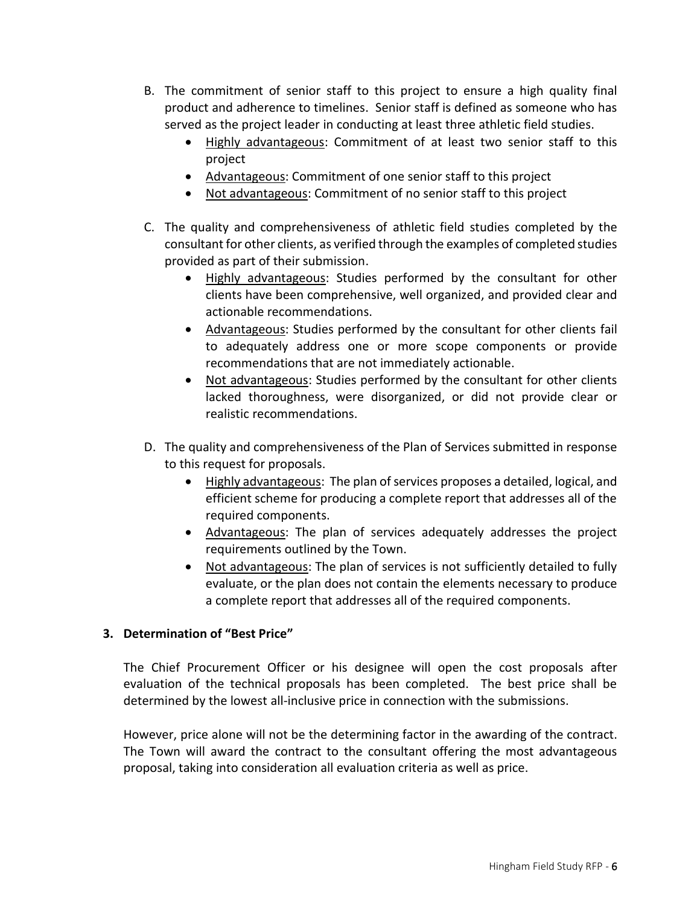- B. The commitment of senior staff to this project to ensure a high quality final product and adherence to timelines. Senior staff is defined as someone who has served as the project leader in conducting at least three athletic field studies.
	- Highly advantageous: Commitment of at least two senior staff to this project
	- Advantageous: Commitment of one senior staff to this project
	- Not advantageous: Commitment of no senior staff to this project
- C. The quality and comprehensiveness of athletic field studies completed by the consultant for other clients, as verified through the examples of completed studies provided as part of their submission.
	- Highly advantageous: Studies performed by the consultant for other clients have been comprehensive, well organized, and provided clear and actionable recommendations.
	- Advantageous: Studies performed by the consultant for other clients fail to adequately address one or more scope components or provide recommendations that are not immediately actionable.
	- Not advantageous: Studies performed by the consultant for other clients lacked thoroughness, were disorganized, or did not provide clear or realistic recommendations.
- D. The quality and comprehensiveness of the Plan of Services submitted in response to this request for proposals.
	- Highly advantageous: The plan of services proposes a detailed, logical, and efficient scheme for producing a complete report that addresses all of the required components.
	- Advantageous: The plan of services adequately addresses the project requirements outlined by the Town.
	- Not advantageous: The plan of services is not sufficiently detailed to fully evaluate, or the plan does not contain the elements necessary to produce a complete report that addresses all of the required components.

#### **3. Determination of "Best Price"**

The Chief Procurement Officer or his designee will open the cost proposals after evaluation of the technical proposals has been completed. The best price shall be determined by the lowest all-inclusive price in connection with the submissions.

However, price alone will not be the determining factor in the awarding of the contract. The Town will award the contract to the consultant offering the most advantageous proposal, taking into consideration all evaluation criteria as well as price.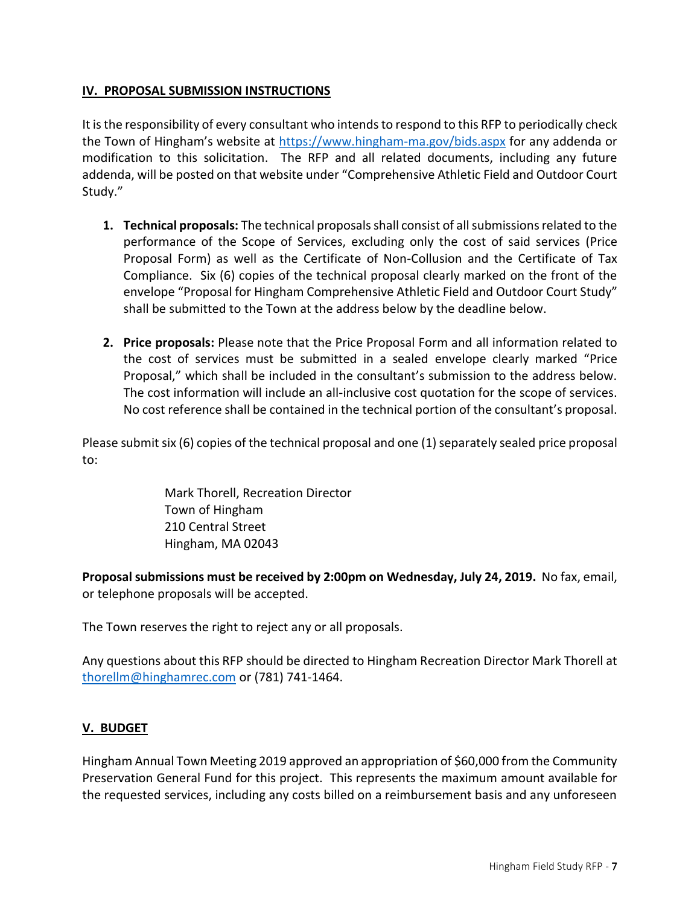## **IV. PROPOSAL SUBMISSION INSTRUCTIONS**

It is the responsibility of every consultant who intends to respond to this RFP to periodically check the Town of Hingham's website at <https://www.hingham-ma.gov/bids.aspx> for any addenda or modification to this solicitation. The RFP and all related documents, including any future addenda, will be posted on that website under "Comprehensive Athletic Field and Outdoor Court Study."

- **1. Technical proposals:** The technical proposals shall consist of all submissions related to the performance of the Scope of Services, excluding only the cost of said services (Price Proposal Form) as well as the Certificate of Non-Collusion and the Certificate of Tax Compliance. Six (6) copies of the technical proposal clearly marked on the front of the envelope "Proposal for Hingham Comprehensive Athletic Field and Outdoor Court Study" shall be submitted to the Town at the address below by the deadline below.
- **2. Price proposals:** Please note that the Price Proposal Form and all information related to the cost of services must be submitted in a sealed envelope clearly marked "Price Proposal," which shall be included in the consultant's submission to the address below. The cost information will include an all-inclusive cost quotation for the scope of services. No cost reference shall be contained in the technical portion of the consultant's proposal.

Please submit six (6) copies of the technical proposal and one (1) separately sealed price proposal to:

> Mark Thorell, Recreation Director Town of Hingham 210 Central Street Hingham, MA 02043

**Proposal submissions must be received by 2:00pm on Wednesday, July 24, 2019.** No fax, email, or telephone proposals will be accepted.

The Town reserves the right to reject any or all proposals.

Any questions about this RFP should be directed to Hingham Recreation Director Mark Thorell at [thorellm@hinghamrec.com](mailto:thorellm@hinghamrec.com) or (781) 741-1464.

## **V. BUDGET**

Hingham Annual Town Meeting 2019 approved an appropriation of \$60,000 from the Community Preservation General Fund for this project. This represents the maximum amount available for the requested services, including any costs billed on a reimbursement basis and any unforeseen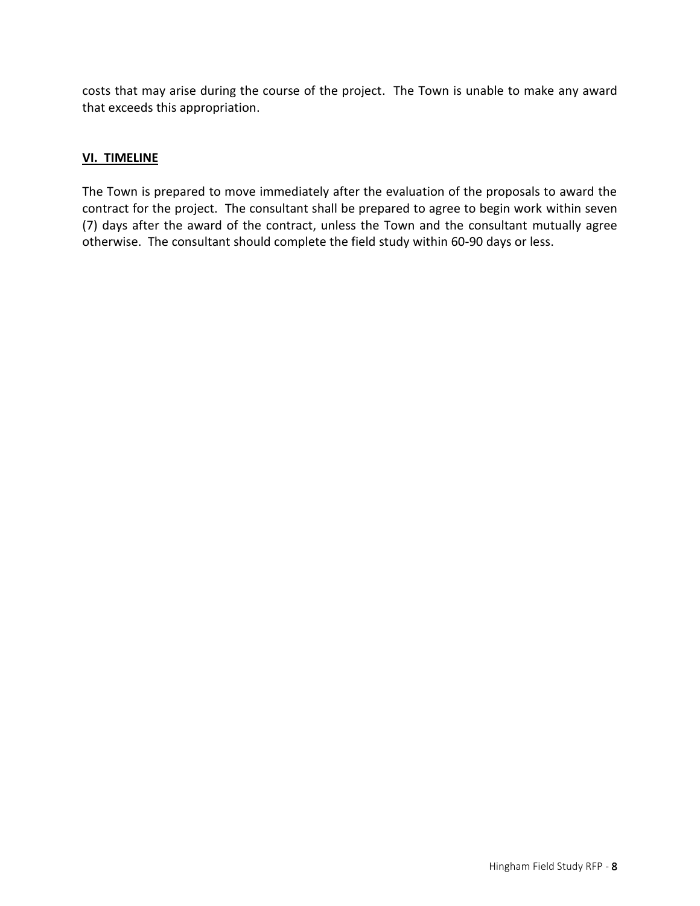costs that may arise during the course of the project. The Town is unable to make any award that exceeds this appropriation.

## **VI. TIMELINE**

The Town is prepared to move immediately after the evaluation of the proposals to award the contract for the project. The consultant shall be prepared to agree to begin work within seven (7) days after the award of the contract, unless the Town and the consultant mutually agree otherwise. The consultant should complete the field study within 60-90 days or less.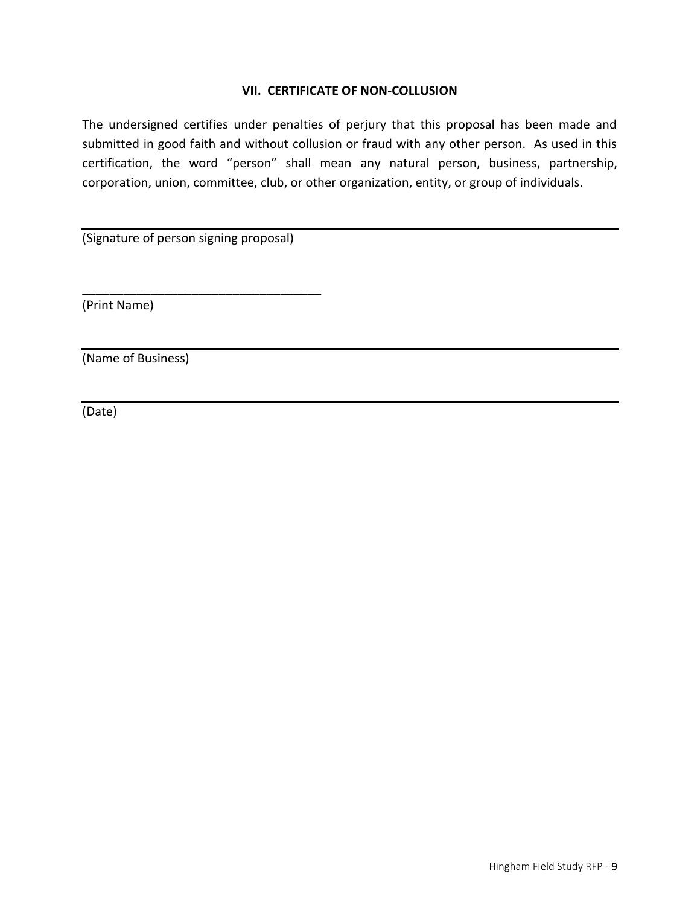#### **VII. CERTIFICATE OF NON-COLLUSION**

The undersigned certifies under penalties of perjury that this proposal has been made and submitted in good faith and without collusion or fraud with any other person. As used in this certification, the word "person" shall mean any natural person, business, partnership, corporation, union, committee, club, or other organization, entity, or group of individuals.

(Signature of person signing proposal)

\_\_\_\_\_\_\_\_\_\_\_\_\_\_\_\_\_\_\_\_\_\_\_\_\_\_\_\_\_\_\_\_\_\_\_

(Print Name)

(Name of Business)

(Date)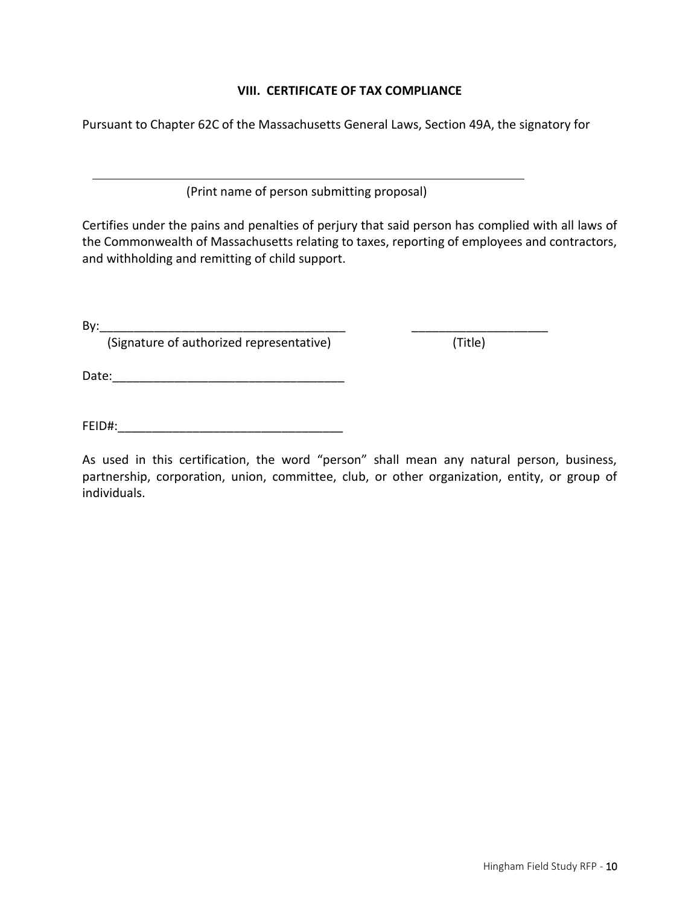### **VIII. CERTIFICATE OF TAX COMPLIANCE**

Pursuant to Chapter 62C of the Massachusetts General Laws, Section 49A, the signatory for

(Print name of person submitting proposal)

Certifies under the pains and penalties of perjury that said person has complied with all laws of the Commonwealth of Massachusetts relating to taxes, reporting of employees and contractors, and withholding and remitting of child support.

By:\_\_\_\_\_\_\_\_\_\_\_\_\_\_\_\_\_\_\_\_\_\_\_\_\_\_\_\_\_\_\_\_\_\_\_\_ \_\_\_\_\_\_\_\_\_\_\_\_\_\_\_\_\_\_\_\_

(Signature of authorized representative) (Title)

Date:\_\_\_\_\_\_\_\_\_\_\_\_\_\_\_\_\_\_\_\_\_\_\_\_\_\_\_\_\_\_\_\_\_\_

FEID#:\_\_\_\_\_\_\_\_\_\_\_\_\_\_\_\_\_\_\_\_\_\_\_\_\_\_\_\_\_\_\_\_\_

As used in this certification, the word "person" shall mean any natural person, business, partnership, corporation, union, committee, club, or other organization, entity, or group of individuals.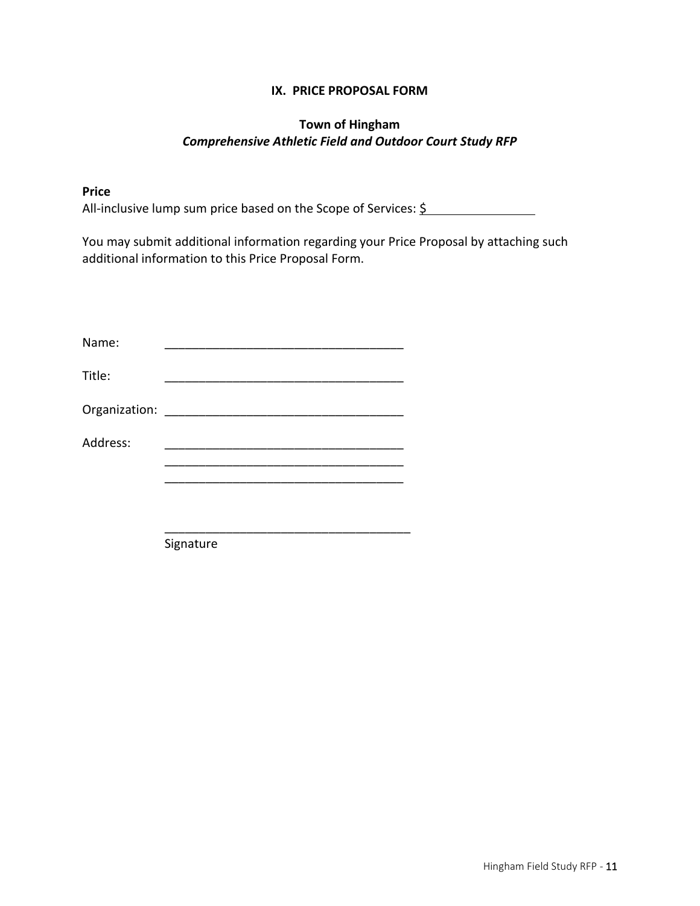### **IX. PRICE PROPOSAL FORM**

# **Town of Hingham** *Comprehensive Athletic Field and Outdoor Court Study RFP*

### **Price**

All-inclusive lump sum price based on the Scope of Services: \$

You may submit additional information regarding your Price Proposal by attaching such additional information to this Price Proposal Form.

Signature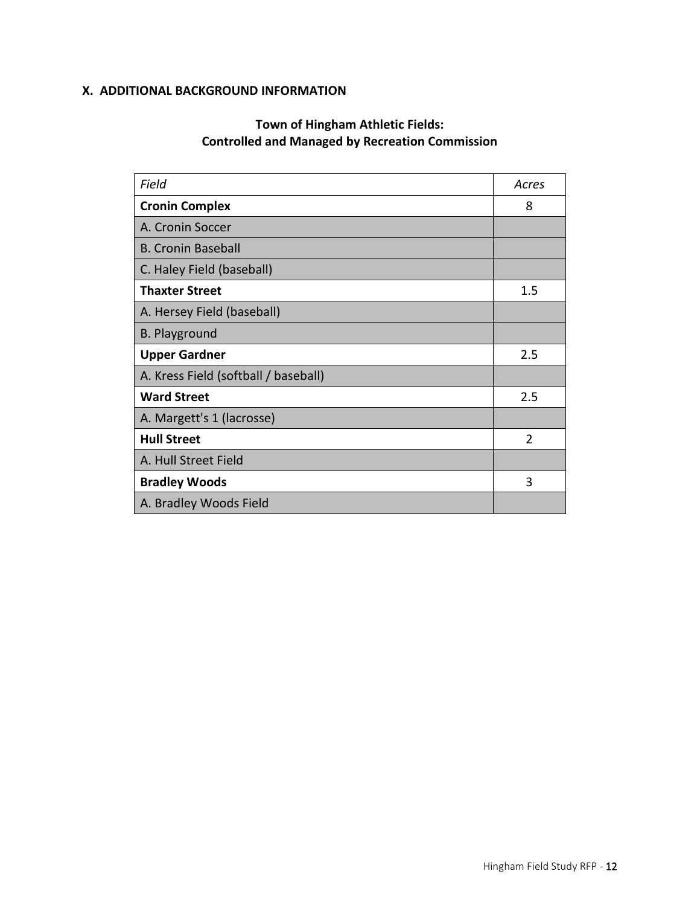# **X. ADDITIONAL BACKGROUND INFORMATION**

# **Town of Hingham Athletic Fields: Controlled and Managed by Recreation Commission**

| Field                                | Acres          |
|--------------------------------------|----------------|
| <b>Cronin Complex</b>                | 8              |
| A. Cronin Soccer                     |                |
| <b>B. Cronin Baseball</b>            |                |
| C. Haley Field (baseball)            |                |
| <b>Thaxter Street</b>                | 1.5            |
| A. Hersey Field (baseball)           |                |
| <b>B. Playground</b>                 |                |
| <b>Upper Gardner</b>                 | 2.5            |
| A. Kress Field (softball / baseball) |                |
| <b>Ward Street</b>                   | 2.5            |
| A. Margett's 1 (lacrosse)            |                |
| <b>Hull Street</b>                   | $\overline{2}$ |
| A. Hull Street Field                 |                |
| <b>Bradley Woods</b>                 | 3              |
| A. Bradley Woods Field               |                |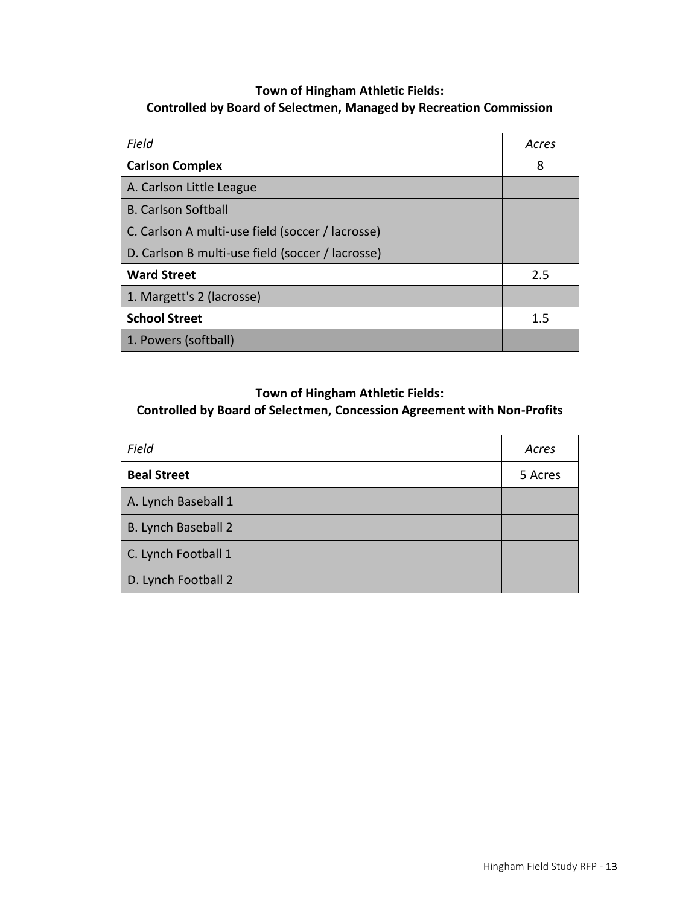# **Town of Hingham Athletic Fields: Controlled by Board of Selectmen, Managed by Recreation Commission**

| Field                                            | Acres |
|--------------------------------------------------|-------|
| <b>Carlson Complex</b>                           | 8     |
| A. Carlson Little League                         |       |
| <b>B. Carlson Softball</b>                       |       |
| C. Carlson A multi-use field (soccer / lacrosse) |       |
| D. Carlson B multi-use field (soccer / lacrosse) |       |
| <b>Ward Street</b>                               | 2.5   |
| 1. Margett's 2 (lacrosse)                        |       |
| <b>School Street</b>                             | 1.5   |
| 1. Powers (softball)                             |       |

# **Town of Hingham Athletic Fields:**

# **Controlled by Board of Selectmen, Concession Agreement with Non-Profits**

| Field               | Acres   |
|---------------------|---------|
| <b>Beal Street</b>  | 5 Acres |
| A. Lynch Baseball 1 |         |
| B. Lynch Baseball 2 |         |
| C. Lynch Football 1 |         |
| D. Lynch Football 2 |         |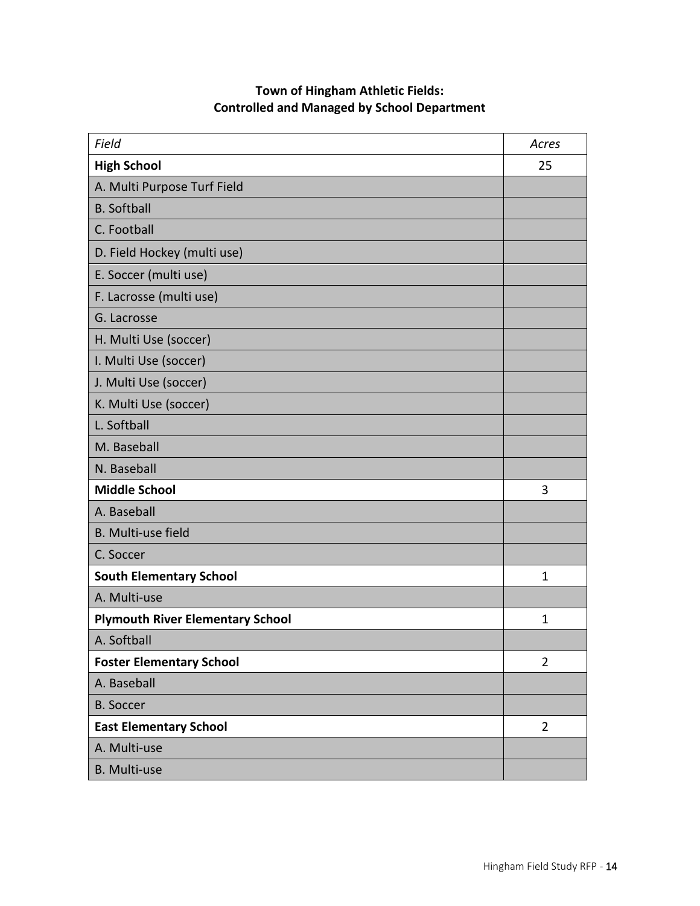| <b>Town of Hingham Athletic Fields:</b>            |
|----------------------------------------------------|
| <b>Controlled and Managed by School Department</b> |

| Field                                   | Acres          |
|-----------------------------------------|----------------|
| <b>High School</b>                      | 25             |
| A. Multi Purpose Turf Field             |                |
| <b>B.</b> Softball                      |                |
| C. Football                             |                |
| D. Field Hockey (multi use)             |                |
| E. Soccer (multi use)                   |                |
| F. Lacrosse (multi use)                 |                |
| G. Lacrosse                             |                |
| H. Multi Use (soccer)                   |                |
| I. Multi Use (soccer)                   |                |
| J. Multi Use (soccer)                   |                |
| K. Multi Use (soccer)                   |                |
| L. Softball                             |                |
| M. Baseball                             |                |
| N. Baseball                             |                |
| <b>Middle School</b>                    | 3              |
| A. Baseball                             |                |
| B. Multi-use field                      |                |
| C. Soccer                               |                |
| <b>South Elementary School</b>          | 1              |
| A. Multi-use                            |                |
| <b>Plymouth River Elementary School</b> | $\mathbf{1}$   |
| A. Softball                             |                |
| <b>Foster Elementary School</b>         | $\overline{2}$ |
| A. Baseball                             |                |
| <b>B.</b> Soccer                        |                |
| <b>East Elementary School</b>           | $\overline{2}$ |
| A. Multi-use                            |                |
| <b>B.</b> Multi-use                     |                |